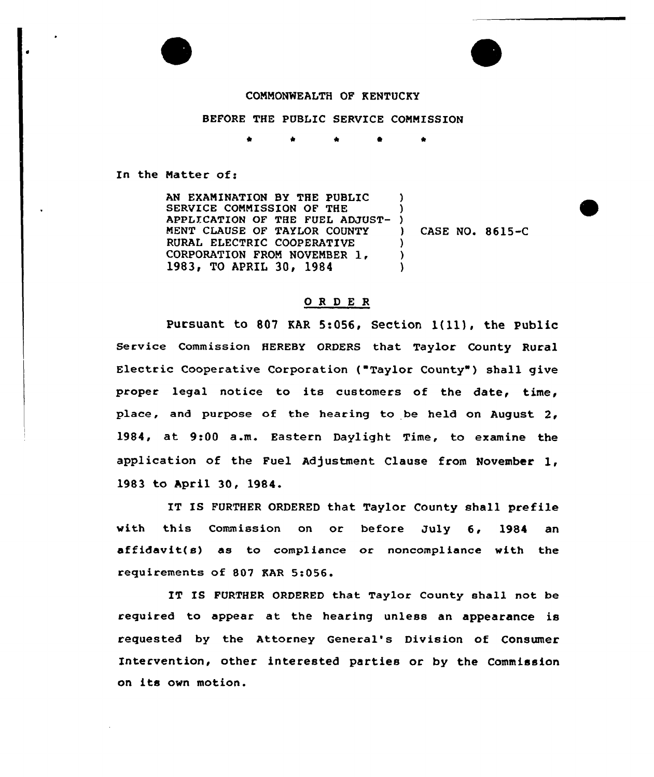

## COMMONWEALTH OF KENTUCKY

## BEFORE THE PUBLIC SERVICE COMMISSION

In the Natter of:

AN EXAMINATION BY THE PUBLIC SERVICE CONMISSION OF THE APPLICATION OF THE FUEL ADJUST-MENT CLAUSE OF TAYLOR COUNTY RURAL ELECTRIC COOPERATIVE CORPORATION FROM NOVEMBER 1. 1983, TO APRIL 30, 1984 ) ) ) ) CASE NO. 8615-C ) ) )

## ORDER

Pursuant to <sup>807</sup> EAR 5:056, Section l(11), the Public Service Commission HEREBY ORDERS that Taylor County Rural Electric Cooperative Corporation ("Taylor County") shall give proper legal notice to its customers of the date, time, place, and purpose of the hearing to be held on August 2, 1984, at 9:00 a.m. Eastern Daylight Time, to examine the application of the Fuel Adjustment Clause from November 1, 1983 to April 30, 1984.

IT IS FURTHER ORDERED that Taylor County shall prefile with this Commission on or before July 6, 1984 an affidavit(s) as to compliance or noncompliance with the requirements of 807 KAR 5:056

IT IS FURTHER ORDERED that Taylor County shall not be required to appear at the hearing unless an appearance is requested by the Attorney General's Division of Consumer Intervention, other interested parties or by the Commission on its own motion.